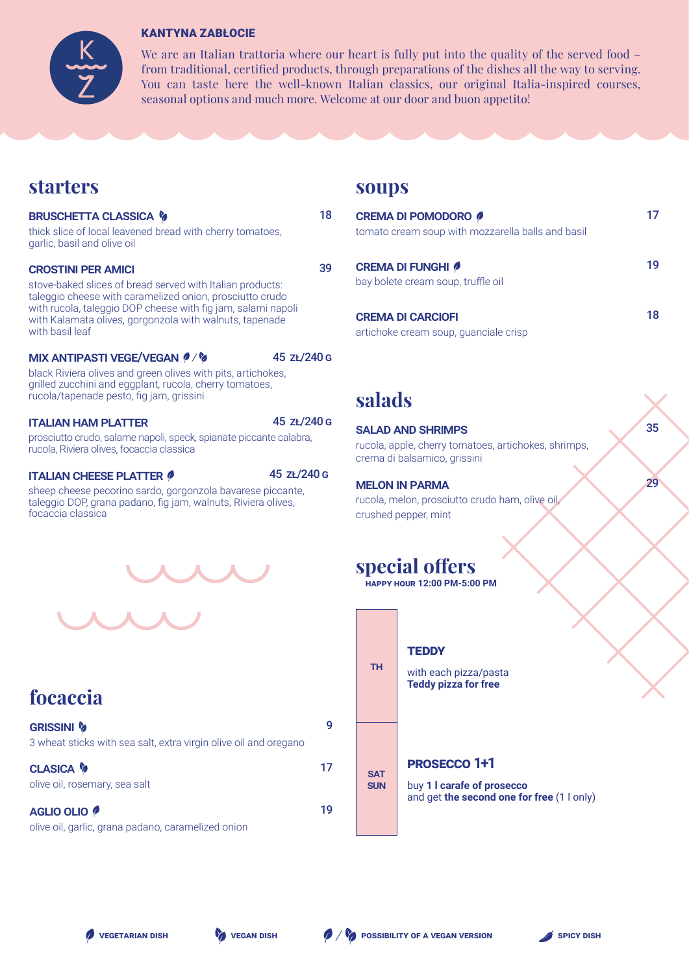

### KANTYNA ZABŁOCIE

We are an Italian trattoria where our heart is fully put into the quality of the served food – from traditional, certified products, through preparations of the dishes all the way to serving. You can taste here the well-known Italian classics, our original Italia-inspired courses, seasonal options and much more. Welcome at our door and buon appetito!

## **starters**

### **BRUSCHETTA CLASSICA &**

thick slice of local leavened bread with cherry tomatoes, garlic, basil and olive oil

#### crostini per amici

stove-baked slices of bread served with Italian products: taleggio cheese with caramelized onion, prosciutto crudo with rucola, taleggio DOP cheese with fig jam, salami napoli with Kalamata olives, gorgonzola with walnuts, tapenade with basil leaf

#### MIX ANTIPASTI VEGE/VEGAN 0/%

45 zł/240 g

black Riviera olives and green olives with pits, artichokes, grilled zucchini and eggplant, rucola, cherry tomatoes, rucola/tapenade pesto, fig jam, grissini

### italian ham platter 45 zł/240 g

prosciutto crudo, salame napoli, speck, spianate piccante calabra, rucola, Riviera olives, focaccia classica

### italian cheese platter 45 zł/240 g

sheep cheese pecorino sardo, gorgonzola bavarese piccante, taleggio DOP, grana padano, fig jam, walnuts, Riviera olives, focaccia classica



# **focaccia**

| <b>GRISSINI %</b><br>3 wheat sticks with sea salt, extra virgin olive oil and oregano | g  |
|---------------------------------------------------------------------------------------|----|
| <b>CLASICA &amp;</b><br>olive oil, rosemary, sea salt                                 | 17 |
| <b>AGLIO OLIO</b> 0                                                                   |    |

olive oil, garlic, grana padano, caramelized onion

### **soups**

| 18 | <b>CREMA DI POMODORO</b><br>tomato cream soup with mozzarella balls and basil | 17 |
|----|-------------------------------------------------------------------------------|----|
| 39 | <b>CREMA DI FUNGHI 0</b><br>bay bolete cream soup, truffle oil                | 19 |
|    | <b>CREMA DI CARCIOFI</b><br>artichoke cream soup, guanciale crisp             | 18 |

## **salads**

### salad and shrimps

rucola, apple, cherry tomatoes, artichokes, shrimps, crema di balsamico, grissini

35

29

### melon in parma

rucola, melon, prosciutto crudo ham, olive oil, crushed pepper, mint

# **special offers**

**happy hour 12:00 PM-5:00 PM**



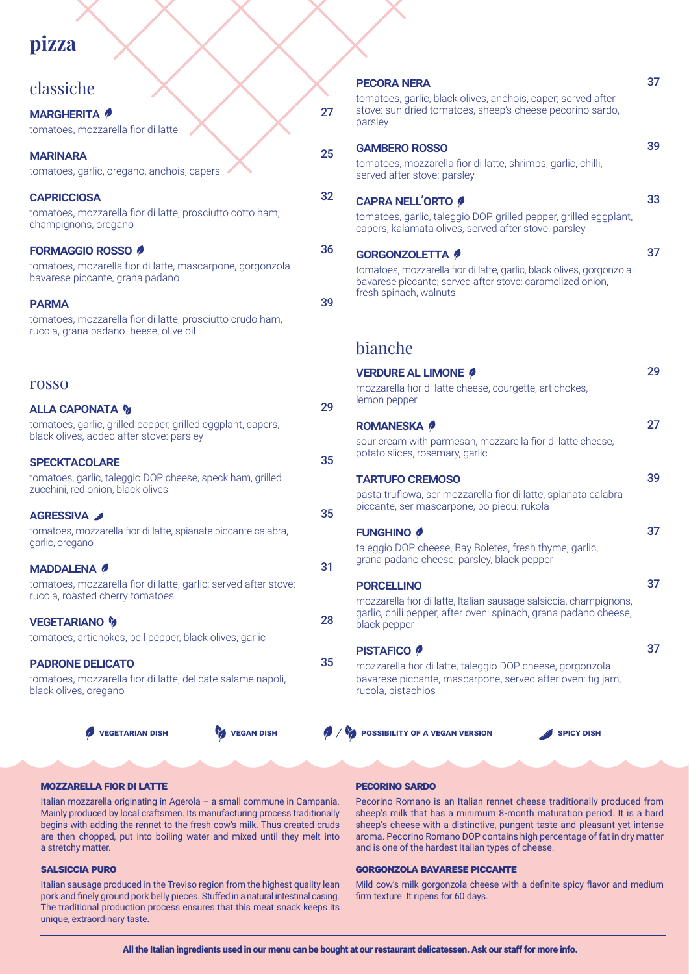# **pizza**

| classiche                                                                                                                                                                                                                                      |          | <b>PECORA NERA</b><br>tomatoes, garlic, black olives, anchois, caper; served at                                                                                             |
|------------------------------------------------------------------------------------------------------------------------------------------------------------------------------------------------------------------------------------------------|----------|-----------------------------------------------------------------------------------------------------------------------------------------------------------------------------|
| <b>MARGHERITA</b> <i><b>P</b></i><br>tomatoes, mozzarella fior di latte                                                                                                                                                                        | 27       | stove: sun dried tomatoes, sheep's cheese pecorino sa<br>parsley                                                                                                            |
| <b>MARINARA</b><br>tomatoes, garlic, oregano, anchois, capers                                                                                                                                                                                  | 25       | <b>GAMBERO ROSSO</b><br>tomatoes, mozzarella fior di latte, shrimps, garlic, chilli,<br>served after stove: parsley                                                         |
| <b>CAPRICCIOSA</b><br>tomatoes, mozzarella fior di latte, prosciutto cotto ham,<br>champignons, oregano                                                                                                                                        | 32       | <b>CAPRA NELL'ORTO 0</b><br>tomatoes, garlic, taleggio DOP, grilled pepper, grilled eg<br>capers, kalamata olives, served after stove: parsley                              |
| <b>FORMAGGIO ROSSO 0</b><br>tomatoes, mozarella fior di latte, mascarpone, gorgonzola<br>bavarese piccante, grana padano<br><b>PARMA</b><br>tomatoes, mozzarella fior di latte, prosciutto crudo ham,<br>rucola, grana padano heese, olive oil | 36<br>39 | <b>GORGONZOLETTA</b><br>tomatoes, mozzarella fior di latte, garlic, black olives, gorg<br>bavarese piccante; served after stove: caramelized onio<br>fresh spinach, walnuts |
|                                                                                                                                                                                                                                                |          | bianche                                                                                                                                                                     |
| <b>rosso</b>                                                                                                                                                                                                                                   |          | <b>VERDURE AL LIMONE 0</b><br>mozzarella fior di latte cheese, courgette, artichokes,<br>lemon pepper                                                                       |
| <b>ALLA CAPONATA &amp;</b><br>tomatoes, garlic, grilled pepper, grilled eggplant, capers,<br>black olives, added after stove: parsley                                                                                                          | 29       | <b>ROMANESKA</b> 0<br>sour cream with parmesan, mozzarella fior di latte chee<br>potato slices, rosemary, garlic                                                            |
| <b>SPECKTACOLARE</b><br>tomatoes, garlic, taleggio DOP cheese, speck ham, grilled<br>zucchini, red onion, black olives                                                                                                                         | 35<br>35 | <b>TARTUFO CREMOSO</b><br>pasta truflowa, ser mozzarella fior di latte, spianata cal<br>piccante, ser mascarpone, po piecu: rukola                                          |
| AGRESSIVA<br>tomatoes, mozzarella fior di latte, spianate piccante calabra,<br>garlic, oregano                                                                                                                                                 |          | <b>FUNGHINO</b><br>taleggio DOP cheese, Bay Boletes, fresh thyme, garlic,                                                                                                   |
| <b>MADDALENA 0</b><br>tomatoes, mozzarella fior di latte, garlic; served after stove:<br>rucola, roasted cherry tomatoes                                                                                                                       | 31       | grana padano cheese, parsley, black pepper<br><b>PORCELLINO</b><br>mozzarella fior di latte, Italian sausage salsiccia, champ                                               |
| <b>VEGETARIANO %</b><br>tomatoes, artichokes, bell pepper, black olives, garlic                                                                                                                                                                | 28       | garlic, chili pepper, after oven: spinach, grana padano d<br>black pepper                                                                                                   |
| <b>PADRONE DELICATO</b><br>tomatoes, mozzarella fior di latte, delicate salame napoli,<br>black olives, oregano                                                                                                                                | 35       | <b>PISTAFICO <i></i></b><br>mozzarella fior di latte, taleggio DOP cheese, gorgonzo<br>bavarese piccante, mascarpone, served after oven: fig<br>rucola, pistachios          |
| <b>VEGETARIAN DISH</b><br><b>VEGAN DISH</b>                                                                                                                                                                                                    |          | <b>O</b> / <b>V</b> POSSIBILITY OF A VEGAN VERSION<br><b>SPICY DISH</b>                                                                                                     |

| <b>PECORA NERA</b>                                                                                                                                          | 37 |
|-------------------------------------------------------------------------------------------------------------------------------------------------------------|----|
| tomatoes, garlic, black olives, anchois, caper; served after<br>stove: sun dried tomatoes, sheep's cheese pecorino sardo,<br>parsley                        |    |
| <b>GAMBERO ROSSO</b>                                                                                                                                        | 39 |
| tomatoes, mozzarella fior di latte, shrimps, garlic, chilli,<br>served after stove: parsley                                                                 |    |
| <b>CAPRA NELL'ORTO 0</b>                                                                                                                                    | 33 |
| tomatoes, garlic, taleggio DOP, grilled pepper, grilled eggplant,<br>capers, kalamata olives, served after stove: parsley                                   |    |
| <b>GORGONZOLETTA 0</b>                                                                                                                                      | 37 |
| tomatoes, mozzarella fior di latte, garlic, black olives, gorgonzola<br>bavarese piccante; served after stove: caramelized onion,<br>fresh spinach, walnuts |    |
|                                                                                                                                                             |    |
| bianche                                                                                                                                                     |    |
| <b>VERDURE AL LIMONE 0</b>                                                                                                                                  | 29 |
| mozzarella fior di latte cheese, courgette, artichokes,<br>lemon pepper                                                                                     |    |
| <b>ROMANESKA</b> 0                                                                                                                                          | 27 |
| sour cream with parmesan, mozzarella fior di latte cheese,<br>potato slices, rosemary, garlic                                                               |    |
| <b>TARTUFO CREMOSO</b>                                                                                                                                      | 39 |
| pasta truflowa, ser mozzarella fior di latte, spianata calabra<br>piccante, ser mascarpone, po piecu: rukola                                                |    |
| <b>FUNGHINO</b>                                                                                                                                             | 37 |
| taleggio DOP cheese, Bay Boletes, fresh thyme, garlic,<br>grana padano cheese, parsley, black pepper                                                        |    |
| <b>PORCELLINO</b>                                                                                                                                           | 37 |
| mozzarella fior di latte, Italian sausage salsiccia, champignons,<br>garlic, chili pepper, after oven: spinach, grana padano cheese,<br>black pepper        |    |
| <b>PISTAFICO 0</b>                                                                                                                                          | 37 |
|                                                                                                                                                             |    |

mozzarella fior di latte, taleggio DOP cheese, gorgonzola bavarese piccante, mascarpone, served after oven: fig jam, rucola, pistachios

#### mozzarella fior di latte

Italian mozzarella originating in Agerola – a small commune in Campania. Mainly produced by local craftsmen. Its manufacturing process traditionally begins with adding the rennet to the fresh cow's milk. Thus created cruds are then chopped, put into boiling water and mixed until they melt into a stretchy matter.

#### salsiccia puro

Italian sausage produced in the Treviso region from the highest quality lean pork and finely ground pork belly pieces. Stuffed in a natural intestinal casing. The traditional production process ensures that this meat snack keeps its unique, extraordinary taste.

#### pecorino sardo

Pecorino Romano is an Italian rennet cheese traditionally produced from sheep's milk that has a minimum 8-month maturation period. It is a hard sheep's cheese with a distinctive, pungent taste and pleasant yet intense aroma. Pecorino Romano DOP contains high percentage of fat in dry matter and is one of the hardest Italian types of cheese.

#### gorgonzola bavarese piccante

Mild cow's milk gorgonzola cheese with a definite spicy flavor and medium firm texture. It ripens for 60 days.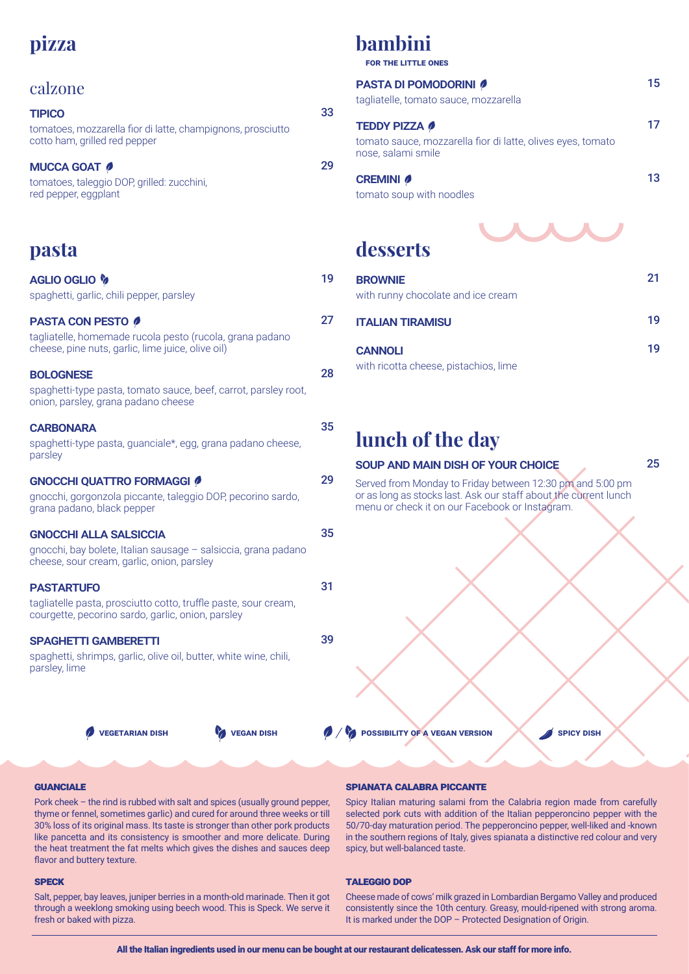# **pizza**

## calzone

| <b>TIPICO</b>                                                                                |  |
|----------------------------------------------------------------------------------------------|--|
| tomatoes, mozzarella fior di latte, champignons, prosciutto<br>cotto ham, grilled red pepper |  |
| <b>MUCCA GOAT 0</b>                                                                          |  |

tomatoes, taleggio DOP, grilled: zucchini, red pepper, eggplant

## **pasta**

| <b>PASTA CON PESTO 0</b><br>tagliatelle, homemade rucola pesto (rucola, grana padano<br>cheese, pine nuts, garlic, lime juice, olive oil)<br><b>BOLOGNESE</b><br>spaghetti-type pasta, tomato sauce, beef, carrot, parsley root,<br>onion, parsley, grana padano cheese<br><b>CARBONARA</b><br>spaghetti-type pasta, guanciale*, egg, grana padano cheese,<br>parsley<br><b>GNOCCHI QUATTRO FORMAGGI @</b><br>gnocchi, gorgonzola piccante, taleggio DOP, pecorino sardo,<br>grana padano, black pepper<br><b>GNOCCHI ALLA SALSICCIA</b><br>gnocchi, bay bolete, Italian sausage - salsiccia, grana padano<br>cheese, sour cream, garlic, onion, parsley<br>31<br><b>PASTARTUFO</b><br>tagliatelle pasta, prosciutto cotto, truffle paste, sour cream,<br>courgette, pecorino sardo, garlic, onion, parsley<br><b>SPAGHETTI GAMBERETTI</b><br>spaghetti, shrimps, garlic, olive oil, butter, white wine, chili,<br>parsley, lime | <b>AGLIO OGLIO &amp;</b><br>spaghetti, garlic, chili pepper, parsley | 19 |
|----------------------------------------------------------------------------------------------------------------------------------------------------------------------------------------------------------------------------------------------------------------------------------------------------------------------------------------------------------------------------------------------------------------------------------------------------------------------------------------------------------------------------------------------------------------------------------------------------------------------------------------------------------------------------------------------------------------------------------------------------------------------------------------------------------------------------------------------------------------------------------------------------------------------------------|----------------------------------------------------------------------|----|
|                                                                                                                                                                                                                                                                                                                                                                                                                                                                                                                                                                                                                                                                                                                                                                                                                                                                                                                                  |                                                                      | 27 |
|                                                                                                                                                                                                                                                                                                                                                                                                                                                                                                                                                                                                                                                                                                                                                                                                                                                                                                                                  |                                                                      | 28 |
|                                                                                                                                                                                                                                                                                                                                                                                                                                                                                                                                                                                                                                                                                                                                                                                                                                                                                                                                  |                                                                      | 35 |
|                                                                                                                                                                                                                                                                                                                                                                                                                                                                                                                                                                                                                                                                                                                                                                                                                                                                                                                                  |                                                                      | 29 |
|                                                                                                                                                                                                                                                                                                                                                                                                                                                                                                                                                                                                                                                                                                                                                                                                                                                                                                                                  |                                                                      | 35 |
|                                                                                                                                                                                                                                                                                                                                                                                                                                                                                                                                                                                                                                                                                                                                                                                                                                                                                                                                  |                                                                      |    |
|                                                                                                                                                                                                                                                                                                                                                                                                                                                                                                                                                                                                                                                                                                                                                                                                                                                                                                                                  |                                                                      | 39 |

# **bambini**

33

29

**for the little ones**

| <b>PASTA DI POMODORINI</b>                                                        | 15 |
|-----------------------------------------------------------------------------------|----|
| tagliatelle, tomato sauce, mozzarella                                             |    |
| <b>TEDDY PIZZA 0</b>                                                              |    |
| tomato sauce, mozzarella fior di latte, olives eyes, tomato<br>nose, salami smile |    |
| <b>CREMINI</b> <i>O</i>                                                           | 13 |
| tomato soup with noodles                                                          |    |
| desserts                                                                          |    |
|                                                                                   |    |

# **desserts**

| <b>BROWNIE</b><br>with runny chocolate and ice cream | 21 |
|------------------------------------------------------|----|
| <b>ITALIAN TIRAMISU</b>                              | 19 |
| <b>CANNOLI</b>                                       | 19 |
| with ricotta cheese, pistachios, lime                |    |

# **lunch of the day**

### soup and main dish of your choice

Served from Monday to Friday between 12:30 pm and 5:00 pm or as long as stocks last. Ask our staff about the current lunch menu or check it on our Facebook or Instagram.

25



#### **GUANCIALE**

Pork cheek – the rind is rubbed with salt and spices (usually ground pepper, thyme or fennel, sometimes garlic) and cured for around three weeks or till 30% loss of its original mass. Its taste is stronger than other pork products like pancetta and its consistency is smoother and more delicate. During the heat treatment the fat melts which gives the dishes and sauces deep flavor and buttery texture.

#### **SPECK**

Salt, pepper, bay leaves, juniper berries in a month-old marinade. Then it got through a weeklong smoking using beech wood. This is Speck. We serve it fresh or baked with pizza.

#### spianata calabra piccante

Spicy Italian maturing salami from the Calabria region made from carefully selected pork cuts with addition of the Italian pepperoncino pepper with the 50/70-day maturation period. The pepperoncino pepper, well-liked and -known in the southern regions of Italy, gives spianata a distinctive red colour and very spicy, but well-balanced taste.

#### taleggio dop

Cheese made of cows' milk grazed in Lombardian Bergamo Valley and produced consistently since the 10th century. Greasy, mould-ripened with strong aroma. It is marked under the DOP – Protected Designation of Origin.